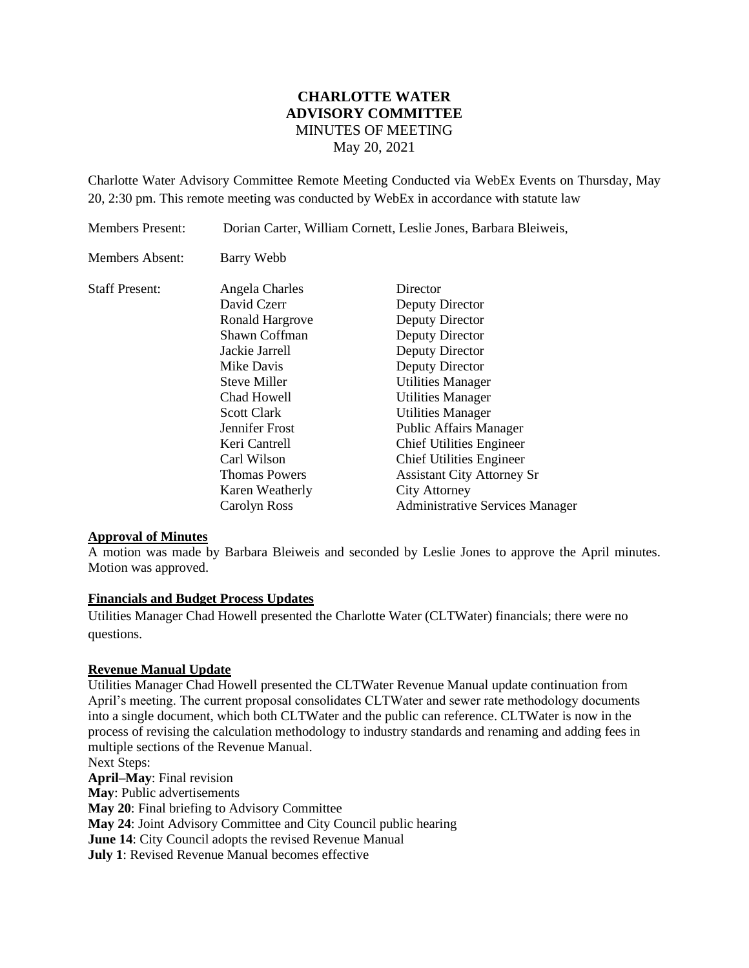# **CHARLOTTE WATER ADVISORY COMMITTEE** MINUTES OF MEETING May 20, 2021

Charlotte Water Advisory Committee Remote Meeting Conducted via WebEx Events on Thursday, May 20, 2:30 pm. This remote meeting was conducted by WebEx in accordance with statute law

Members Present: Dorian Carter, William Cornett, Leslie Jones, Barbara Bleiweis, Members Absent: Barry Webb Staff Present: Angela Charles Director David Czerr Deputy Director Ronald Hargrove Deputy Director Shawn Coffman Deputy Director Jackie Jarrell Deputy Director Mike Davis Deputy Director Steve Miller Utilities Manager Chad Howell Utilities Manager Scott Clark Utilities Manager Jennifer Frost Public Affairs Manager Keri Cantrell Chief Utilities Engineer Carl Wilson Chief Utilities Engineer Thomas Powers Assistant City Attorney Sr Karen Weatherly City Attorney Carolyn Ross Administrative Services Manager

#### **Approval of Minutes**

A motion was made by Barbara Bleiweis and seconded by Leslie Jones to approve the April minutes. Motion was approved.

#### **Financials and Budget Process Updates**

Utilities Manager Chad Howell presented the Charlotte Water (CLTWater) financials; there were no questions.

## **Revenue Manual Update**

Utilities Manager Chad Howell presented the CLTWater Revenue Manual update continuation from April's meeting. The current proposal consolidates CLTWater and sewer rate methodology documents into a single document, which both CLTWater and the public can reference. CLTWater is now in the process of revising the calculation methodology to industry standards and renaming and adding fees in multiple sections of the Revenue Manual.

Next Steps: **April–May**: Final revision **May**: Public advertisements **May 20**: Final briefing to Advisory Committee **May 24**: Joint Advisory Committee and City Council public hearing **June 14**: City Council adopts the revised Revenue Manual **July 1**: Revised Revenue Manual becomes effective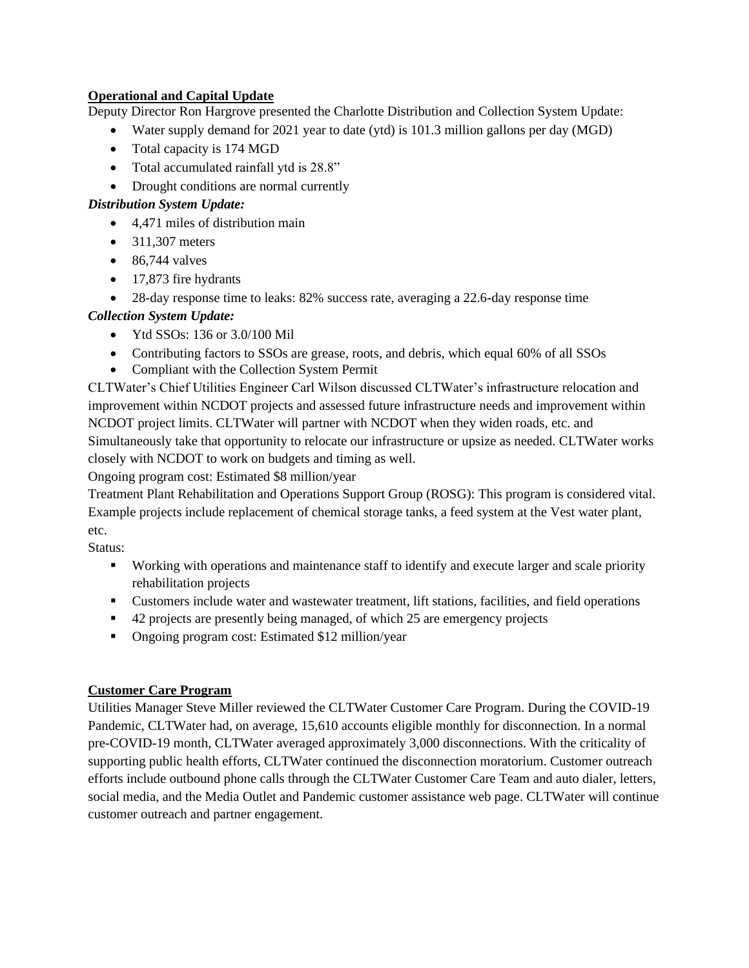## **Operational and Capital Update**

Deputy Director Ron Hargrove presented the Charlotte Distribution and Collection System Update:

- Water supply demand for 2021 year to date (ytd) is 101.3 million gallons per day (MGD)
- Total capacity is 174 MGD
- Total accumulated rainfall ytd is  $28.8$ "
- Drought conditions are normal currently

## *Distribution System Update:*

- 4,471 miles of distribution main
- 311,307 meters
- $\bullet$  86,744 valves
- 17,873 fire hydrants
- 28-day response time to leaks: 82% success rate, averaging a 22.6-day response time

# *Collection System Update:*

- Ytd SSOs: 136 or 3.0/100 Mil
- Contributing factors to SSOs are grease, roots, and debris, which equal 60% of all SSOs
- Compliant with the Collection System Permit

CLTWater's Chief Utilities Engineer Carl Wilson discussed CLTWater's infrastructure relocation and improvement within NCDOT projects and assessed future infrastructure needs and improvement within NCDOT project limits. CLTWater will partner with NCDOT when they widen roads, etc. and Simultaneously take that opportunity to relocate our infrastructure or upsize as needed. CLTWater works closely with NCDOT to work on budgets and timing as well.

Ongoing program cost: Estimated \$8 million/year

Treatment Plant Rehabilitation and Operations Support Group (ROSG): This program is considered vital. Example projects include replacement of chemical storage tanks, a feed system at the Vest water plant, etc.

Status:

- Working with operations and maintenance staff to identify and execute larger and scale priority rehabilitation projects
- Customers include water and wastewater treatment, lift stations, facilities, and field operations
- 42 projects are presently being managed, of which 25 are emergency projects
- Ongoing program cost: Estimated \$12 million/year

# **Customer Care Program**

Utilities Manager Steve Miller reviewed the CLTWater Customer Care Program. During the COVID-19 Pandemic, CLTWater had, on average, 15,610 accounts eligible monthly for disconnection. In a normal pre-COVID-19 month, CLTWater averaged approximately 3,000 disconnections. With the criticality of supporting public health efforts, CLTWater continued the disconnection moratorium. Customer outreach efforts include outbound phone calls through the CLTWater Customer Care Team and auto dialer, letters, social media, and the Media Outlet and Pandemic customer assistance web page. CLTWater will continue customer outreach and partner engagement.